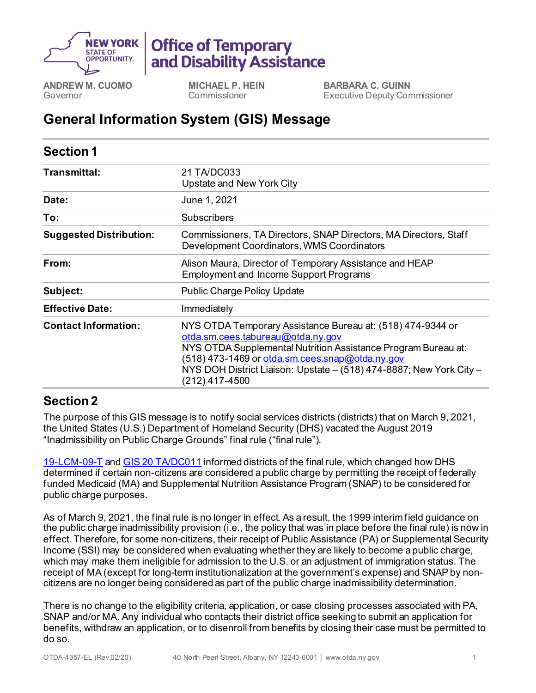

## **Office of Temporary** and Disability Assistance

**ANDREW M. CUOMO** Governor

**MICHAEL P. HEIN** Commissioner

**BARBARA C. GUINN** Executive Deputy Commissioner

## **General Information System (GIS) Message**

| <b>Section 1</b>               |                                                                                                                                                                                                                                                                                                              |
|--------------------------------|--------------------------------------------------------------------------------------------------------------------------------------------------------------------------------------------------------------------------------------------------------------------------------------------------------------|
| Transmittal:                   | 21 TA/DC033<br>Upstate and New York City                                                                                                                                                                                                                                                                     |
| Date:                          | June 1, 2021                                                                                                                                                                                                                                                                                                 |
| To:                            | <b>Subscribers</b>                                                                                                                                                                                                                                                                                           |
| <b>Suggested Distribution:</b> | Commissioners, TA Directors, SNAP Directors, MA Directors, Staff<br>Development Coordinators, WMS Coordinators                                                                                                                                                                                               |
| From:                          | Alison Maura, Director of Temporary Assistance and HEAP<br><b>Employment and Income Support Programs</b>                                                                                                                                                                                                     |
| Subject:                       | <b>Public Charge Policy Update</b>                                                                                                                                                                                                                                                                           |
| <b>Effective Date:</b>         | Immediately                                                                                                                                                                                                                                                                                                  |
| <b>Contact Information:</b>    | NYS OTDA Temporary Assistance Bureau at: (518) 474-9344 or<br>otda.sm.cees.tabureau@otda.ny.gov<br>NYS OTDA Supplemental Nutrition Assistance Program Bureau at:<br>(518) 473-1469 or otda.sm.cees.snap@otda.ny.gov<br>NYS DOH District Liaison: Upstate – (518) 474-8887; New York City –<br>(212) 417-4500 |

## **Section 2**

The purpose of this GIS message is to notify social services districts (districts) that on March 9, 2021, the United States (U.S.) Department of Homeland Security (DHS) vacated the August 2019 "Inadmissibility on Public Charge Grounds" final rule ("final rule").

[19-LCM-09-T](https://otda.ny.gov/policy/directives/2019/LCM/19-LCM-09-T.pdf) an[d GIS 20 TA/DC011](https://otda.ny.gov/policy/gis/2020/20DC011.pdf) informed districts of the final rule, which changed how DHS determined if certain non-citizens are considered a public charge by permitting the receipt of federally funded Medicaid (MA) and Supplemental Nutrition Assistance Program (SNAP) to be considered for public charge purposes.

As of March 9, 2021, the final rule is no longer in effect. As a result, the 1999 interim field guidance on the public charge inadmissibility provision (i.e., the policy that was in place before the final rule) is now in effect. Therefore, for some non-citizens, their receipt of Public Assistance (PA) or Supplemental Security Income (SSI) may be considered when evaluating whether they are likely to become a public charge, which may make them ineligible for admission to the U.S. or an adjustment of immigration status. The receipt of MA (except for long-term institutionalization at the government's expense) and SNAP by noncitizens are no longer being considered as part of the public charge inadmissibility determination.

There is no change to the eligibility criteria, application, or case closing processes associated with PA, SNAP and/or MA. Any individual who contacts their district office seeking to submit an application for benefits, withdraw an application, or to disenroll from benefits by closing their case must be permitted to do so.